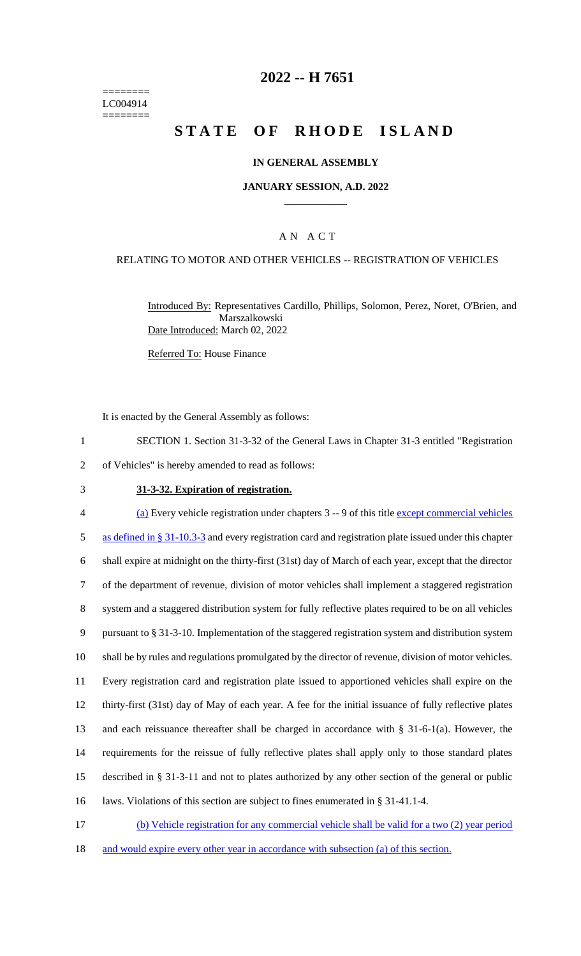======== LC004914 ========

## **2022 -- H 7651**

# **STATE OF RHODE ISLAND**

### **IN GENERAL ASSEMBLY**

### **JANUARY SESSION, A.D. 2022 \_\_\_\_\_\_\_\_\_\_\_\_**

## A N A C T

### RELATING TO MOTOR AND OTHER VEHICLES -- REGISTRATION OF VEHICLES

Introduced By: Representatives Cardillo, Phillips, Solomon, Perez, Noret, O'Brien, and Marszalkowski Date Introduced: March 02, 2022

Referred To: House Finance

It is enacted by the General Assembly as follows:

- 1 SECTION 1. Section 31-3-32 of the General Laws in Chapter 31-3 entitled "Registration
- 2 of Vehicles" is hereby amended to read as follows:
- 3 **31-3-32. Expiration of registration.**

 (a) Every vehicle registration under chapters 3 -- 9 of this title except commercial vehicles as defined in § 31-10.3-3 and every registration card and registration plate issued under this chapter shall expire at midnight on the thirty-first (31st) day of March of each year, except that the director of the department of revenue, division of motor vehicles shall implement a staggered registration system and a staggered distribution system for fully reflective plates required to be on all vehicles pursuant to § 31-3-10. Implementation of the staggered registration system and distribution system shall be by rules and regulations promulgated by the director of revenue, division of motor vehicles. Every registration card and registration plate issued to apportioned vehicles shall expire on the thirty-first (31st) day of May of each year. A fee for the initial issuance of fully reflective plates and each reissuance thereafter shall be charged in accordance with § 31-6-1(a). However, the requirements for the reissue of fully reflective plates shall apply only to those standard plates described in § 31-3-11 and not to plates authorized by any other section of the general or public laws. Violations of this section are subject to fines enumerated in § 31-41.1-4.

17 (b) Vehicle registration for any commercial vehicle shall be valid for a two (2) year period 18 and would expire every other year in accordance with subsection (a) of this section.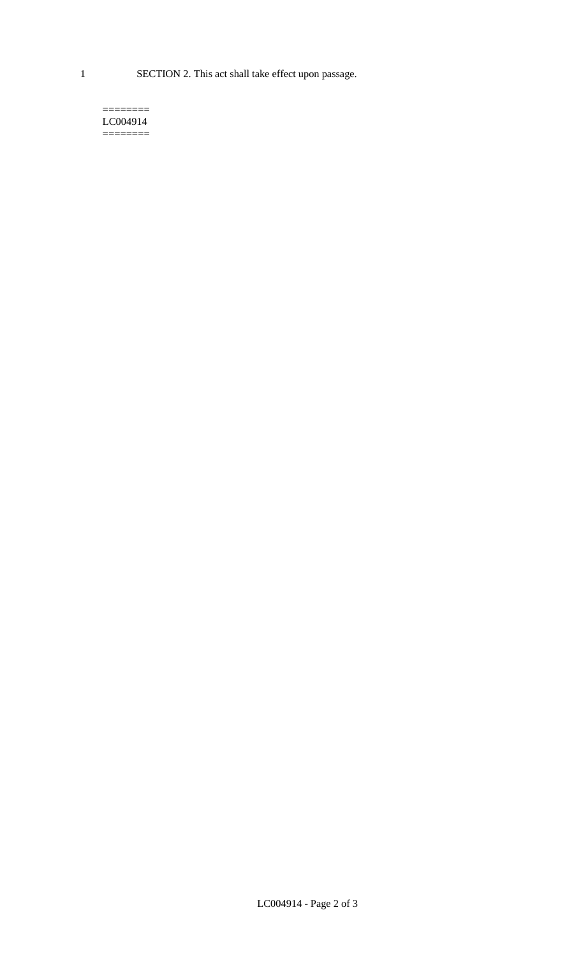1 SECTION 2. This act shall take effect upon passage.

#### $=$ LC004914  $=$